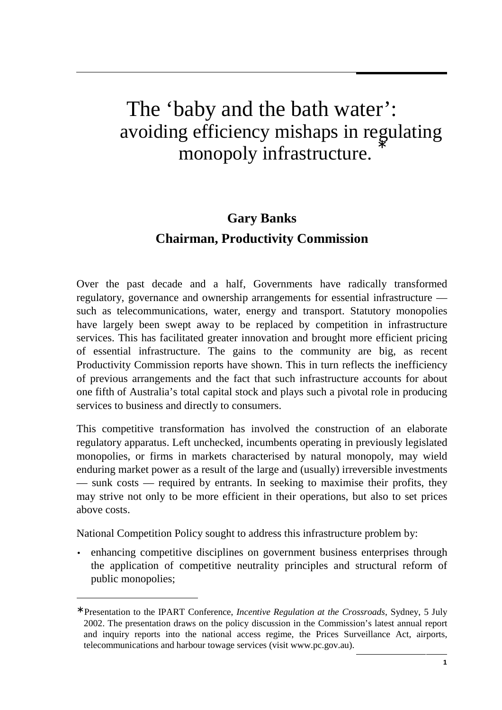# The 'baby and the bath water': avoiding efficiency mishaps in regulating monopoly infrastructure.

# **Gary Banks Chairman, Productivity Commission**

Over the past decade and a half, Governments have radically transformed regulatory, governance and ownership arrangements for essential infrastructure such as telecommunications, water, energy and transport. Statutory monopolies have largely been swept away to be replaced by competition in infrastructure services. This has facilitated greater innovation and brought more efficient pricing of essential infrastructure. The gains to the community are big, as recent Productivity Commission reports have shown. This in turn reflects the inefficiency of previous arrangements and the fact that such infrastructure accounts for about one fifth of Australia's total capital stock and plays such a pivotal role in producing services to business and directly to consumers.

This competitive transformation has involved the construction of an elaborate regulatory apparatus. Left unchecked, incumbents operating in previously legislated monopolies, or firms in markets characterised by natural monopoly, may wield enduring market power as a result of the large and (usually) irreversible investments — sunk costs — required by entrants. In seeking to maximise their profits, they may strive not only to be more efficient in their operations, but also to set prices above costs.

National Competition Policy sought to address this infrastructure problem by:

 $\overline{a}$ 

• enhancing competitive disciplines on government business enterprises through the application of competitive neutrality principles and structural reform of public monopolies;

<sup>∗</sup> Presentation to the IPART Conference, *Incentive Regulation at the Crossroads*, Sydney, 5 July 2002. The presentation draws on the policy discussion in the Commission's latest annual report and inquiry reports into the national access regime, the Prices Surveillance Act, airports, telecommunications and harbour towage services (visit www.pc.gov.au).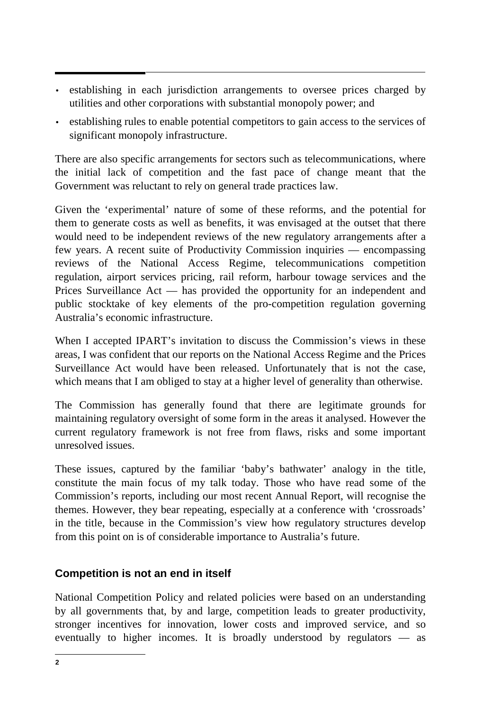- establishing in each jurisdiction arrangements to oversee prices charged by utilities and other corporations with substantial monopoly power; and
- establishing rules to enable potential competitors to gain access to the services of significant monopoly infrastructure.

There are also specific arrangements for sectors such as telecommunications, where the initial lack of competition and the fast pace of change meant that the Government was reluctant to rely on general trade practices law.

Given the 'experimental' nature of some of these reforms, and the potential for them to generate costs as well as benefits, it was envisaged at the outset that there would need to be independent reviews of the new regulatory arrangements after a few years. A recent suite of Productivity Commission inquiries — encompassing reviews of the National Access Regime, telecommunications competition regulation, airport services pricing, rail reform, harbour towage services and the Prices Surveillance Act — has provided the opportunity for an independent and public stocktake of key elements of the pro-competition regulation governing Australia's economic infrastructure.

When I accepted IPART's invitation to discuss the Commission's views in these areas, I was confident that our reports on the National Access Regime and the Prices Surveillance Act would have been released. Unfortunately that is not the case, which means that I am obliged to stay at a higher level of generality than otherwise.

The Commission has generally found that there are legitimate grounds for maintaining regulatory oversight of some form in the areas it analysed. However the current regulatory framework is not free from flaws, risks and some important unresolved issues.

These issues, captured by the familiar 'baby's bathwater' analogy in the title, constitute the main focus of my talk today. Those who have read some of the Commission's reports, including our most recent Annual Report, will recognise the themes. However, they bear repeating, especially at a conference with 'crossroads' in the title, because in the Commission's view how regulatory structures develop from this point on is of considerable importance to Australia's future.

# **Competition is not an end in itself**

National Competition Policy and related policies were based on an understanding by all governments that, by and large, competition leads to greater productivity, stronger incentives for innovation, lower costs and improved service, and so eventually to higher incomes. It is broadly understood by regulators — as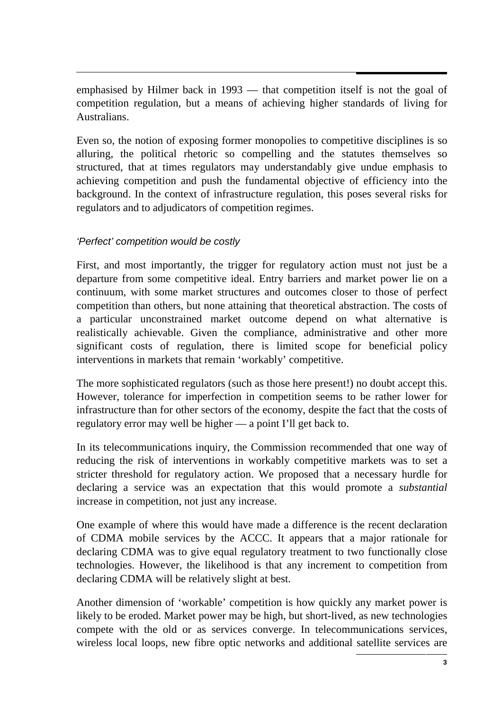emphasised by Hilmer back in 1993 — that competition itself is not the goal of competition regulation, but a means of achieving higher standards of living for Australians.

Even so, the notion of exposing former monopolies to competitive disciplines is so alluring, the political rhetoric so compelling and the statutes themselves so structured, that at times regulators may understandably give undue emphasis to achieving competition and push the fundamental objective of efficiency into the background. In the context of infrastructure regulation, this poses several risks for regulators and to adjudicators of competition regimes.

# 'Perfect' competition would be costly

First, and most importantly, the trigger for regulatory action must not just be a departure from some competitive ideal. Entry barriers and market power lie on a continuum, with some market structures and outcomes closer to those of perfect competition than others, but none attaining that theoretical abstraction. The costs of a particular unconstrained market outcome depend on what alternative is realistically achievable. Given the compliance, administrative and other more significant costs of regulation, there is limited scope for beneficial policy interventions in markets that remain 'workably' competitive.

The more sophisticated regulators (such as those here present!) no doubt accept this. However, tolerance for imperfection in competition seems to be rather lower for infrastructure than for other sectors of the economy, despite the fact that the costs of regulatory error may well be higher — a point I'll get back to.

In its telecommunications inquiry, the Commission recommended that one way of reducing the risk of interventions in workably competitive markets was to set a stricter threshold for regulatory action. We proposed that a necessary hurdle for declaring a service was an expectation that this would promote a *substantial* increase in competition, not just any increase.

One example of where this would have made a difference is the recent declaration of CDMA mobile services by the ACCC. It appears that a major rationale for declaring CDMA was to give equal regulatory treatment to two functionally close technologies. However, the likelihood is that any increment to competition from declaring CDMA will be relatively slight at best.

Another dimension of 'workable' competition is how quickly any market power is likely to be eroded. Market power may be high, but short-lived, as new technologies compete with the old or as services converge. In telecommunications services, wireless local loops, new fibre optic networks and additional satellite services are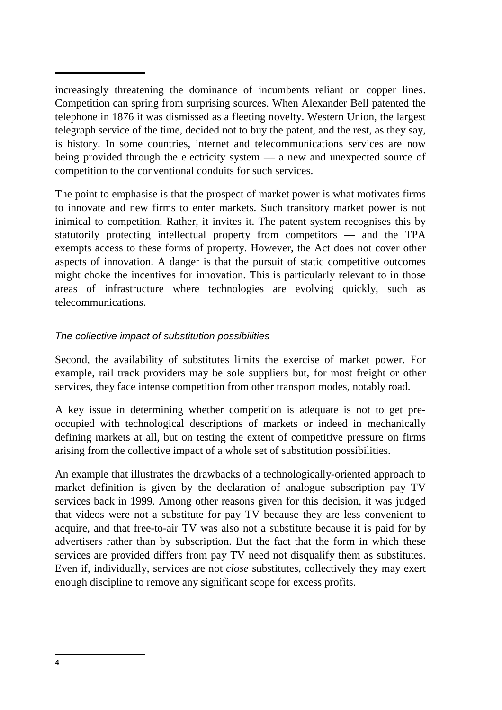increasingly threatening the dominance of incumbents reliant on copper lines. Competition can spring from surprising sources. When Alexander Bell patented the telephone in 1876 it was dismissed as a fleeting novelty. Western Union, the largest telegraph service of the time, decided not to buy the patent, and the rest, as they say, is history. In some countries, internet and telecommunications services are now being provided through the electricity system — a new and unexpected source of competition to the conventional conduits for such services.

The point to emphasise is that the prospect of market power is what motivates firms to innovate and new firms to enter markets. Such transitory market power is not inimical to competition. Rather, it invites it. The patent system recognises this by statutorily protecting intellectual property from competitors — and the TPA exempts access to these forms of property. However, the Act does not cover other aspects of innovation. A danger is that the pursuit of static competitive outcomes might choke the incentives for innovation. This is particularly relevant to in those areas of infrastructure where technologies are evolving quickly, such as telecommunications.

#### The collective impact of substitution possibilities

Second, the availability of substitutes limits the exercise of market power. For example, rail track providers may be sole suppliers but, for most freight or other services, they face intense competition from other transport modes, notably road.

A key issue in determining whether competition is adequate is not to get preoccupied with technological descriptions of markets or indeed in mechanically defining markets at all, but on testing the extent of competitive pressure on firms arising from the collective impact of a whole set of substitution possibilities.

An example that illustrates the drawbacks of a technologically-oriented approach to market definition is given by the declaration of analogue subscription pay TV services back in 1999. Among other reasons given for this decision, it was judged that videos were not a substitute for pay TV because they are less convenient to acquire, and that free-to-air TV was also not a substitute because it is paid for by advertisers rather than by subscription. But the fact that the form in which these services are provided differs from pay TV need not disqualify them as substitutes. Even if, individually, services are not *close* substitutes, collectively they may exert enough discipline to remove any significant scope for excess profits.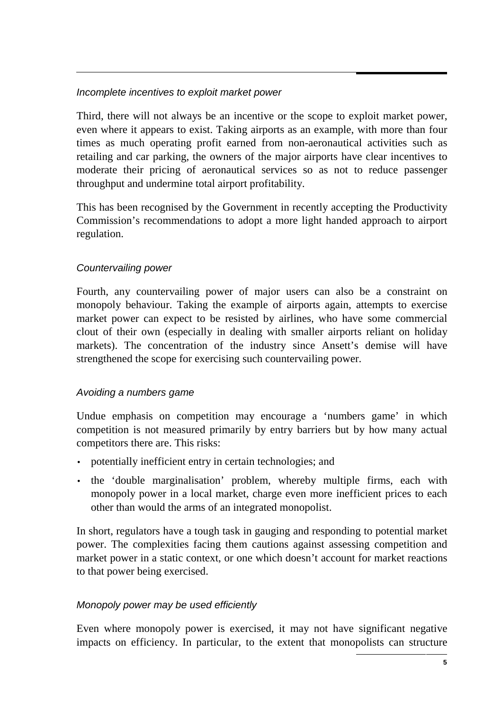#### Incomplete incentives to exploit market power

Third, there will not always be an incentive or the scope to exploit market power, even where it appears to exist. Taking airports as an example, with more than four times as much operating profit earned from non-aeronautical activities such as retailing and car parking, the owners of the major airports have clear incentives to moderate their pricing of aeronautical services so as not to reduce passenger throughput and undermine total airport profitability.

This has been recognised by the Government in recently accepting the Productivity Commission's recommendations to adopt a more light handed approach to airport regulation.

#### Countervailing power

Fourth, any countervailing power of major users can also be a constraint on monopoly behaviour. Taking the example of airports again, attempts to exercise market power can expect to be resisted by airlines, who have some commercial clout of their own (especially in dealing with smaller airports reliant on holiday markets). The concentration of the industry since Ansett's demise will have strengthened the scope for exercising such countervailing power.

#### Avoiding a numbers game

Undue emphasis on competition may encourage a 'numbers game' in which competition is not measured primarily by entry barriers but by how many actual competitors there are. This risks:

- potentially inefficient entry in certain technologies; and
- the 'double marginalisation' problem, whereby multiple firms, each with monopoly power in a local market, charge even more inefficient prices to each other than would the arms of an integrated monopolist.

In short, regulators have a tough task in gauging and responding to potential market power. The complexities facing them cautions against assessing competition and market power in a static context, or one which doesn't account for market reactions to that power being exercised.

#### Monopoly power may be used efficiently

Even where monopoly power is exercised, it may not have significant negative impacts on efficiency. In particular, to the extent that monopolists can structure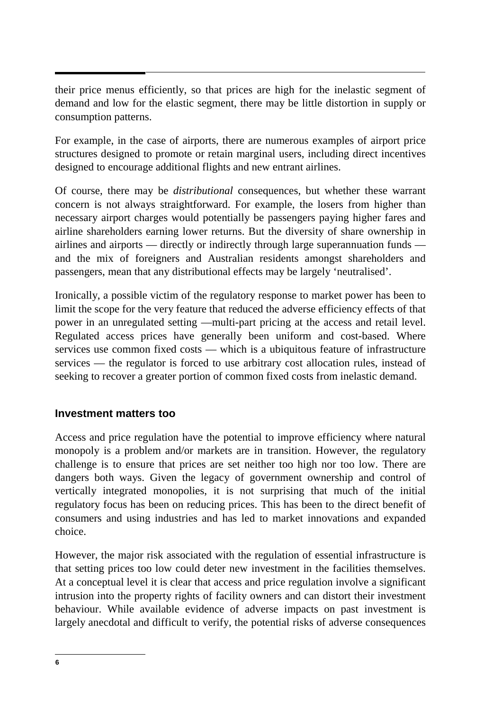their price menus efficiently, so that prices are high for the inelastic segment of demand and low for the elastic segment, there may be little distortion in supply or consumption patterns.

For example, in the case of airports, there are numerous examples of airport price structures designed to promote or retain marginal users, including direct incentives designed to encourage additional flights and new entrant airlines.

Of course, there may be *distributional* consequences, but whether these warrant concern is not always straightforward. For example, the losers from higher than necessary airport charges would potentially be passengers paying higher fares and airline shareholders earning lower returns. But the diversity of share ownership in airlines and airports — directly or indirectly through large superannuation funds and the mix of foreigners and Australian residents amongst shareholders and passengers, mean that any distributional effects may be largely 'neutralised'.

Ironically, a possible victim of the regulatory response to market power has been to limit the scope for the very feature that reduced the adverse efficiency effects of that power in an unregulated setting —multi-part pricing at the access and retail level. Regulated access prices have generally been uniform and cost-based. Where services use common fixed costs — which is a ubiquitous feature of infrastructure services — the regulator is forced to use arbitrary cost allocation rules, instead of seeking to recover a greater portion of common fixed costs from inelastic demand.

#### **Investment matters too**

Access and price regulation have the potential to improve efficiency where natural monopoly is a problem and/or markets are in transition. However, the regulatory challenge is to ensure that prices are set neither too high nor too low. There are dangers both ways. Given the legacy of government ownership and control of vertically integrated monopolies, it is not surprising that much of the initial regulatory focus has been on reducing prices. This has been to the direct benefit of consumers and using industries and has led to market innovations and expanded choice.

However, the major risk associated with the regulation of essential infrastructure is that setting prices too low could deter new investment in the facilities themselves. At a conceptual level it is clear that access and price regulation involve a significant intrusion into the property rights of facility owners and can distort their investment behaviour. While available evidence of adverse impacts on past investment is largely anecdotal and difficult to verify, the potential risks of adverse consequences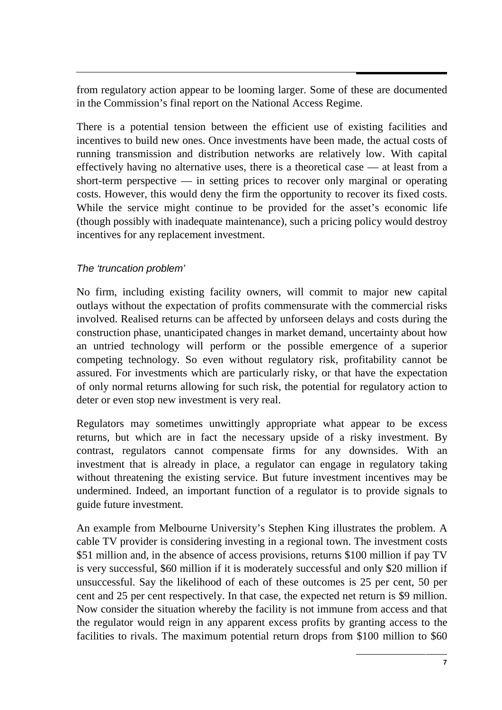from regulatory action appear to be looming larger. Some of these are documented in the Commission's final report on the National Access Regime.

There is a potential tension between the efficient use of existing facilities and incentives to build new ones. Once investments have been made, the actual costs of running transmission and distribution networks are relatively low. With capital effectively having no alternative uses, there is a theoretical case — at least from a short-term perspective  $\frac{1}{\sqrt{2}}$  in setting prices to recover only marginal or operating costs. However, this would deny the firm the opportunity to recover its fixed costs. While the service might continue to be provided for the asset's economic life (though possibly with inadequate maintenance), such a pricing policy would destroy incentives for any replacement investment.

#### The 'truncation problem'

No firm, including existing facility owners, will commit to major new capital outlays without the expectation of profits commensurate with the commercial risks involved. Realised returns can be affected by unforseen delays and costs during the construction phase, unanticipated changes in market demand, uncertainty about how an untried technology will perform or the possible emergence of a superior competing technology. So even without regulatory risk, profitability cannot be assured. For investments which are particularly risky, or that have the expectation of only normal returns allowing for such risk, the potential for regulatory action to deter or even stop new investment is very real.

Regulators may sometimes unwittingly appropriate what appear to be excess returns, but which are in fact the necessary upside of a risky investment. By contrast, regulators cannot compensate firms for any downsides. With an investment that is already in place, a regulator can engage in regulatory taking without threatening the existing service. But future investment incentives may be undermined. Indeed, an important function of a regulator is to provide signals to guide future investment.

An example from Melbourne University's Stephen King illustrates the problem. A cable TV provider is considering investing in a regional town. The investment costs \$51 million and, in the absence of access provisions, returns \$100 million if pay TV is very successful, \$60 million if it is moderately successful and only \$20 million if unsuccessful. Say the likelihood of each of these outcomes is 25 per cent, 50 per cent and 25 per cent respectively. In that case, the expected net return is \$9 million. Now consider the situation whereby the facility is not immune from access and that the regulator would reign in any apparent excess profits by granting access to the facilities to rivals. The maximum potential return drops from \$100 million to \$60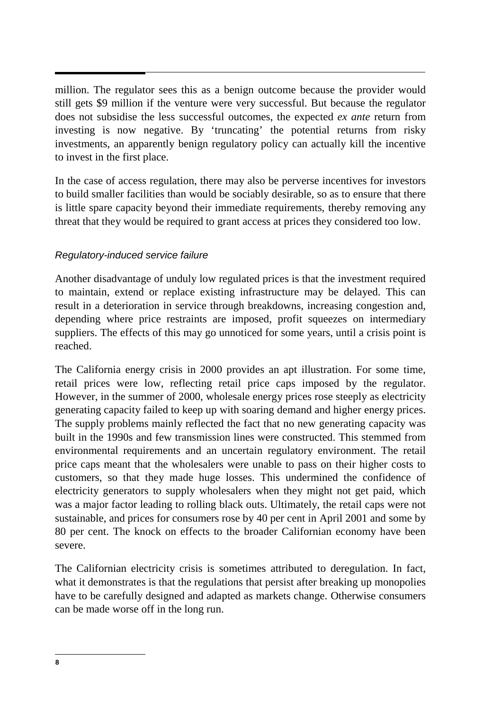million. The regulator sees this as a benign outcome because the provider would still gets \$9 million if the venture were very successful. But because the regulator does not subsidise the less successful outcomes, the expected *ex ante* return from investing is now negative. By 'truncating' the potential returns from risky investments, an apparently benign regulatory policy can actually kill the incentive to invest in the first place.

In the case of access regulation, there may also be perverse incentives for investors to build smaller facilities than would be sociably desirable, so as to ensure that there is little spare capacity beyond their immediate requirements, thereby removing any threat that they would be required to grant access at prices they considered too low.

#### Regulatory-induced service failure

Another disadvantage of unduly low regulated prices is that the investment required to maintain, extend or replace existing infrastructure may be delayed. This can result in a deterioration in service through breakdowns, increasing congestion and, depending where price restraints are imposed, profit squeezes on intermediary suppliers. The effects of this may go unnoticed for some years, until a crisis point is reached.

The California energy crisis in 2000 provides an apt illustration. For some time, retail prices were low, reflecting retail price caps imposed by the regulator. However, in the summer of 2000, wholesale energy prices rose steeply as electricity generating capacity failed to keep up with soaring demand and higher energy prices. The supply problems mainly reflected the fact that no new generating capacity was built in the 1990s and few transmission lines were constructed. This stemmed from environmental requirements and an uncertain regulatory environment. The retail price caps meant that the wholesalers were unable to pass on their higher costs to customers, so that they made huge losses. This undermined the confidence of electricity generators to supply wholesalers when they might not get paid, which was a major factor leading to rolling black outs. Ultimately, the retail caps were not sustainable, and prices for consumers rose by 40 per cent in April 2001 and some by 80 per cent. The knock on effects to the broader Californian economy have been severe.

The Californian electricity crisis is sometimes attributed to deregulation. In fact, what it demonstrates is that the regulations that persist after breaking up monopolies have to be carefully designed and adapted as markets change. Otherwise consumers can be made worse off in the long run.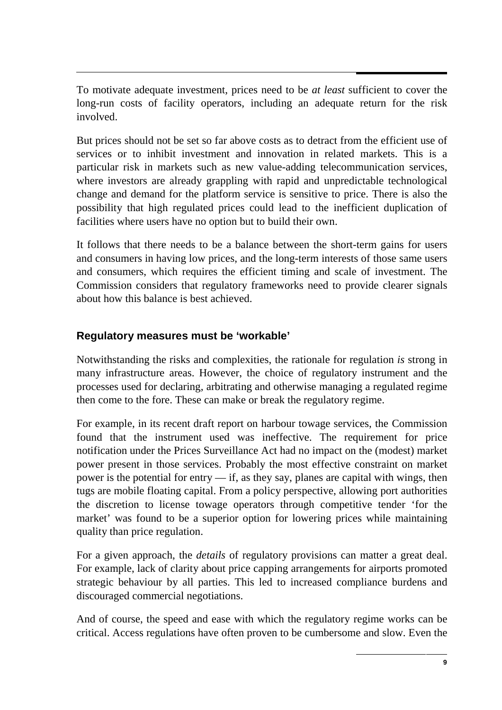To motivate adequate investment, prices need to be *at least* sufficient to cover the long-run costs of facility operators, including an adequate return for the risk involved.

But prices should not be set so far above costs as to detract from the efficient use of services or to inhibit investment and innovation in related markets. This is a particular risk in markets such as new value-adding telecommunication services, where investors are already grappling with rapid and unpredictable technological change and demand for the platform service is sensitive to price. There is also the possibility that high regulated prices could lead to the inefficient duplication of facilities where users have no option but to build their own.

It follows that there needs to be a balance between the short-term gains for users and consumers in having low prices, and the long-term interests of those same users and consumers, which requires the efficient timing and scale of investment. The Commission considers that regulatory frameworks need to provide clearer signals about how this balance is best achieved.

# **Regulatory measures must be 'workable'**

Notwithstanding the risks and complexities, the rationale for regulation *is* strong in many infrastructure areas. However, the choice of regulatory instrument and the processes used for declaring, arbitrating and otherwise managing a regulated regime then come to the fore. These can make or break the regulatory regime.

For example, in its recent draft report on harbour towage services, the Commission found that the instrument used was ineffective. The requirement for price notification under the Prices Surveillance Act had no impact on the (modest) market power present in those services. Probably the most effective constraint on market power is the potential for entry  $\frac{d}{dx}$  if, as they say, planes are capital with wings, then tugs are mobile floating capital. From a policy perspective, allowing port authorities the discretion to license towage operators through competitive tender 'for the market' was found to be a superior option for lowering prices while maintaining quality than price regulation.

For a given approach, the *details* of regulatory provisions can matter a great deal. For example, lack of clarity about price capping arrangements for airports promoted strategic behaviour by all parties. This led to increased compliance burdens and discouraged commercial negotiations.

And of course, the speed and ease with which the regulatory regime works can be critical. Access regulations have often proven to be cumbersome and slow. Even the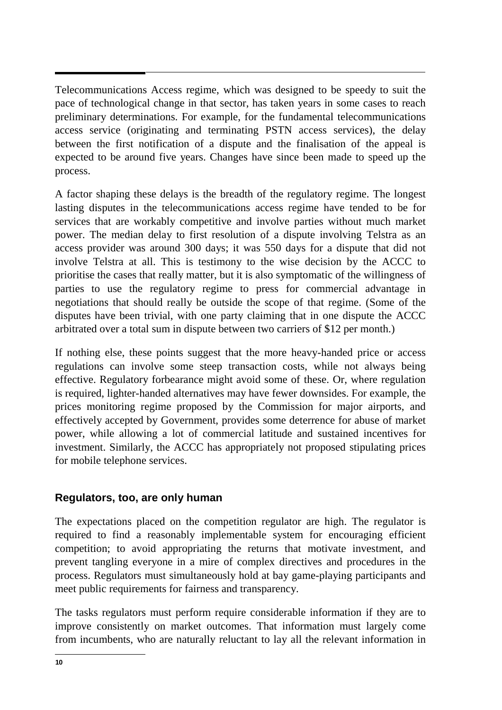Telecommunications Access regime, which was designed to be speedy to suit the pace of technological change in that sector, has taken years in some cases to reach preliminary determinations. For example, for the fundamental telecommunications access service (originating and terminating PSTN access services), the delay between the first notification of a dispute and the finalisation of the appeal is expected to be around five years. Changes have since been made to speed up the process.

A factor shaping these delays is the breadth of the regulatory regime. The longest lasting disputes in the telecommunications access regime have tended to be for services that are workably competitive and involve parties without much market power. The median delay to first resolution of a dispute involving Telstra as an access provider was around 300 days; it was 550 days for a dispute that did not involve Telstra at all. This is testimony to the wise decision by the ACCC to prioritise the cases that really matter, but it is also symptomatic of the willingness of parties to use the regulatory regime to press for commercial advantage in negotiations that should really be outside the scope of that regime. (Some of the disputes have been trivial, with one party claiming that in one dispute the ACCC arbitrated over a total sum in dispute between two carriers of \$12 per month.)

If nothing else, these points suggest that the more heavy-handed price or access regulations can involve some steep transaction costs, while not always being effective. Regulatory forbearance might avoid some of these. Or, where regulation is required, lighter-handed alternatives may have fewer downsides. For example, the prices monitoring regime proposed by the Commission for major airports, and effectively accepted by Government, provides some deterrence for abuse of market power, while allowing a lot of commercial latitude and sustained incentives for investment. Similarly, the ACCC has appropriately not proposed stipulating prices for mobile telephone services.

# **Regulators, too, are only human**

The expectations placed on the competition regulator are high. The regulator is required to find a reasonably implementable system for encouraging efficient competition; to avoid appropriating the returns that motivate investment, and prevent tangling everyone in a mire of complex directives and procedures in the process. Regulators must simultaneously hold at bay game-playing participants and meet public requirements for fairness and transparency.

The tasks regulators must perform require considerable information if they are to improve consistently on market outcomes. That information must largely come from incumbents, who are naturally reluctant to lay all the relevant information in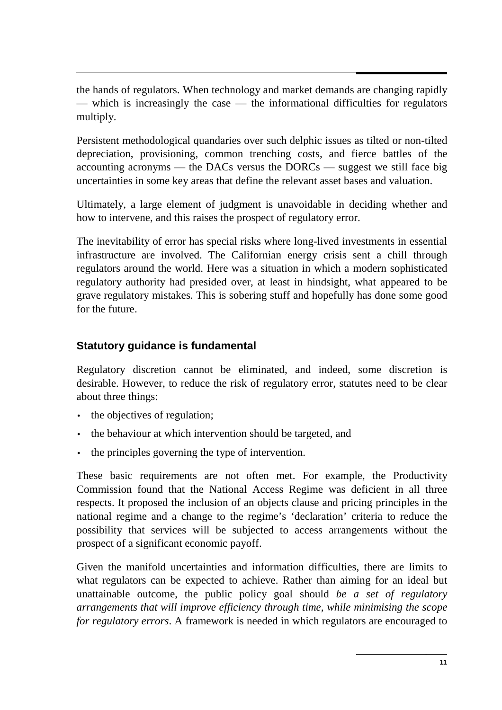the hands of regulators. When technology and market demands are changing rapidly — which is increasingly the case — the informational difficulties for regulators multiply.

Persistent methodological quandaries over such delphic issues as tilted or non-tilted depreciation, provisioning, common trenching costs, and fierce battles of the accounting acronyms — the DACs versus the DORCs — suggest we still face big uncertainties in some key areas that define the relevant asset bases and valuation.

Ultimately, a large element of judgment is unavoidable in deciding whether and how to intervene, and this raises the prospect of regulatory error.

The inevitability of error has special risks where long-lived investments in essential infrastructure are involved. The Californian energy crisis sent a chill through regulators around the world. Here was a situation in which a modern sophisticated regulatory authority had presided over, at least in hindsight, what appeared to be grave regulatory mistakes. This is sobering stuff and hopefully has done some good for the future.

# **Statutory guidance is fundamental**

Regulatory discretion cannot be eliminated, and indeed, some discretion is desirable. However, to reduce the risk of regulatory error, statutes need to be clear about three things:

- the objectives of regulation;
- the behaviour at which intervention should be targeted, and
- the principles governing the type of intervention.

These basic requirements are not often met. For example, the Productivity Commission found that the National Access Regime was deficient in all three respects. It proposed the inclusion of an objects clause and pricing principles in the national regime and a change to the regime's 'declaration' criteria to reduce the possibility that services will be subjected to access arrangements without the prospect of a significant economic payoff.

Given the manifold uncertainties and information difficulties, there are limits to what regulators can be expected to achieve. Rather than aiming for an ideal but unattainable outcome, the public policy goal should *be a set of regulatory arrangements that will improve efficiency through time, while minimising the scope for regulatory errors*. A framework is needed in which regulators are encouraged to